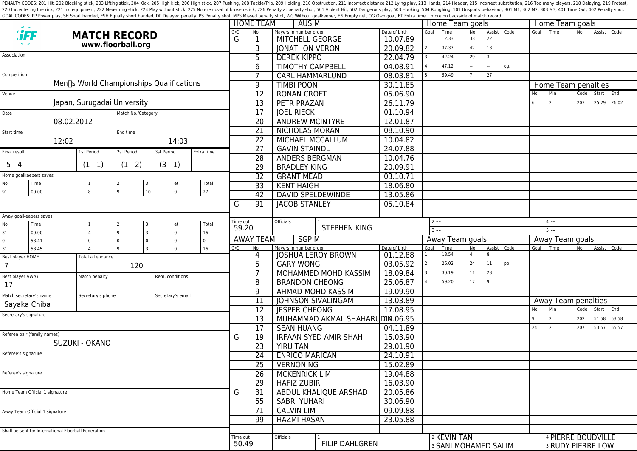PENALTY CODES: 201 Hit, 202 Blocking stick, 203 Lifting stick, 203 Kick, 205 High kick, 205 High kick, 205 High stick, 206 High stick, 207 Pushing, 208 Tackle/Trip, 209 Holding, 210 Obstruction, 211 Incorrect distance 212 220 Inc.entering the rink, 221 Inc.equipment, 222 Measuring stick, 224 Play without stick, 225 Non-removal of broken stick, 225 Poralty shot, 501 Violent Hit, 502 Dangerous play, 503 Hooking, 504 Roughing, 101 Unsports.beh GOAL CODES: PP Power play, SH Short handed, ESH Equally short handed, DP Delayed penalty, PS Penalty shot, MPS Missed penalty shot, WG Without goalkeeper, EN Empty net, OG Own goal, ET Extra time....more on backside of mat

|                                |                                                      |                                                       |                                                      |                                     |                   |                                 |                         |                          | <b>HOME TEAM</b><br>AUS M       |                              |                                                      |           |                                            |    | Home Team goals         |                                                              | Home Team goals |                                                |       |       |       |
|--------------------------------|------------------------------------------------------|-------------------------------------------------------|------------------------------------------------------|-------------------------------------|-------------------|---------------------------------|-------------------------|--------------------------|---------------------------------|------------------------------|------------------------------------------------------|-----------|--------------------------------------------|----|-------------------------|--------------------------------------------------------------|-----------------|------------------------------------------------|-------|-------|-------|
| <b><i>'iFF</i></b>             |                                                      | <b>MATCH RECORD</b>                                   |                                                      |                                     | G/C               | No                              | Players in number order |                          | Date of birth                   | Goal                         | Time                                                 | <b>No</b> | Assist   Code                              |    | Goal Time               |                                                              | <b>No</b>       | Assist Code                                    |       |       |       |
|                                |                                                      | www.floorball.org                                     |                                                      |                                     | G                 |                                 | MITCHELL GEORGE         |                          | 10.07.89                        |                              | 12.33                                                | 33        | 22                                         |    |                         |                                                              |                 |                                                |       |       |       |
|                                |                                                      |                                                       |                                                      |                                     |                   |                                 |                         | 3                        | <b>JONATHON VERON</b>           |                              | 20.09.82                                             |           | 37.37                                      | 42 | 13                      |                                                              |                 |                                                |       |       |       |
| Association                    |                                                      |                                                       |                                                      |                                     |                   |                                 |                         | 5                        | <b>DEREK KIPPO</b>              |                              | 22.04.79                                             |           | 42.24                                      | 29 | $\overline{\mathbf{3}}$ |                                                              |                 |                                                |       |       |       |
|                                |                                                      |                                                       |                                                      |                                     |                   |                                 |                         | 6                        | <b>TIMOTHY CAMPBELL</b>         |                              | 04.08.91                                             |           | 47.12                                      |    |                         | og.                                                          |                 |                                                |       |       |       |
| Competition                    |                                                      |                                                       |                                                      |                                     |                   |                                 |                         | 7                        | <b>CARL HAMMARLUND</b>          |                              | 08.03.81                                             |           | 59.49                                      |    | 27                      |                                                              |                 |                                                |       |       |       |
|                                |                                                      | Men <sub>[s</sub> World Championships Qualifications] |                                                      |                                     |                   |                                 |                         | 9                        | <b>TIMBI POON</b>               |                              | 30.11.85                                             |           |                                            |    |                         |                                                              |                 | Home Team penalties                            |       |       |       |
| Venue                          |                                                      |                                                       |                                                      |                                     |                   |                                 |                         | 12                       | <b>RONAN CROFT</b>              |                              | 05.06.90                                             |           |                                            |    |                         |                                                              | No              | Min                                            | Code  | Start | End   |
|                                |                                                      | Japan, Surugadai University                           |                                                      |                                     |                   |                                 |                         | 13                       | <b>PETR PRAZAN</b>              |                              | 26.11.79                                             |           |                                            |    |                         |                                                              | 6               | 2                                              | 207   | 25.29 | 26.02 |
| Date                           |                                                      |                                                       | Match No./Category                                   |                                     |                   |                                 |                         | 17                       | <b>JOEL RIECK</b>               |                              | 01.10.94                                             |           |                                            |    |                         |                                                              |                 |                                                |       |       |       |
|                                |                                                      | 08.02.2012                                            |                                                      |                                     |                   |                                 |                         | 20                       | <b>ANDREW MCINTYRE</b>          |                              | 12.01.87                                             |           |                                            |    |                         |                                                              |                 |                                                |       |       |       |
| Start time                     |                                                      |                                                       | End time                                             |                                     |                   |                                 |                         | 21                       | NICHOLAS MORAN                  |                              | 08.10.90                                             |           |                                            |    |                         |                                                              |                 |                                                |       |       |       |
|                                | 12:02                                                |                                                       |                                                      |                                     | 14:03             |                                 |                         | 22                       | MICHAEL MCCALLUM                |                              | 10.04.82                                             |           |                                            |    |                         |                                                              |                 |                                                |       |       |       |
|                                |                                                      |                                                       |                                                      |                                     |                   |                                 |                         | 27                       | <b>GAVIN STAINDL</b>            |                              | 24.07.88                                             |           |                                            |    |                         |                                                              |                 |                                                |       |       |       |
| Final result                   |                                                      | 1st Period                                            | 2st Period                                           | 3st Period                          |                   | Extra time                      |                         | 28                       | ANDERS BERGMAN                  |                              | 10.04.76                                             |           |                                            |    |                         |                                                              |                 |                                                |       |       |       |
| $5 - 4$                        |                                                      | $(1 - 1)$                                             | $(1 - 2)$                                            | $(3 - 1)$                           |                   |                                 |                         | 29                       | <b>BRADLEY KING</b>             |                              | 20.09.91                                             |           |                                            |    |                         |                                                              |                 |                                                |       |       |       |
| Home goalkeepers saves         |                                                      |                                                       |                                                      |                                     |                   | 32                              | <b>GRANT MEAD</b>       |                          | 03.10.71                        |                              |                                                      |           |                                            |    |                         |                                                              |                 |                                                |       |       |       |
| No                             | Time                                                 |                                                       |                                                      |                                     | et.               | Total                           |                         | 33                       | <b>KENT HAIGH</b>               |                              | 18.06.80                                             |           |                                            |    |                         |                                                              |                 |                                                |       |       |       |
| 91                             | 00.00                                                | 8                                                     | 9                                                    | 10                                  | $\overline{0}$    | 27                              |                         |                          |                                 |                              |                                                      |           |                                            |    |                         |                                                              |                 |                                                |       |       |       |
|                                |                                                      |                                                       |                                                      |                                     |                   | 42                              |                         | <b>DAVID SPELDEWINDE</b> | 13.05.86                        |                              |                                                      |           |                                            |    |                         |                                                              |                 |                                                |       |       |       |
|                                |                                                      |                                                       |                                                      |                                     |                   |                                 | G                       | 91                       | <b>JACOB STANLEY</b>            |                              | 05.10.84                                             |           |                                            |    |                         |                                                              |                 |                                                |       |       |       |
| Away goalkeepers saves         |                                                      |                                                       |                                                      |                                     |                   |                                 |                         |                          | Officials                       |                              |                                                      |           |                                            |    |                         |                                                              |                 | $4 - -$                                        |       |       |       |
| No                             | Time                                                 | et.<br>Total<br>$\overline{2}$<br>3<br>  1            |                                                      |                                     | Time out<br>59.20 | <b>STEPHEN KING</b>             |                         |                          |                                 | $2 - -$                      |                                                      |           |                                            |    |                         |                                                              |                 |                                                |       |       |       |
| 31                             | 00.00                                                |                                                       | $\overline{0}$<br>16<br>9<br>$\overline{\mathbf{3}}$ |                                     |                   | <b>SGPM</b><br><b>AWAY TEAM</b> |                         |                          |                                 | $3 - -$                      |                                                      |           |                                            |    |                         | $5 - -$                                                      |                 |                                                |       |       |       |
| $\mathbf 0$                    | 58.41                                                | $\Omega$                                              | l o                                                  | $\Omega$<br>$\overline{\mathbf{3}}$ | $\overline{0}$    | $\Omega$                        | G/C                     | No                       | Players in number order         | Date of birth                | Away Team goals<br>Time<br>Assist Code<br>Goal<br>No |           |                                            |    |                         | Away Team goals<br>Goal   Time<br><b>No</b><br>Assist   Code |                 |                                                |       |       |       |
| 31<br>Best player HOME         | 58.45                                                |                                                       | و ا                                                  |                                     | $\overline{0}$    | 16                              |                         | 4                        |                                 | <b>JOSHUA LEROY BROWN</b>    | 01.12.88                                             |           | 18.54                                      |    | $\mathsf{R}$            |                                                              |                 |                                                |       |       |       |
| $\overline{7}$                 |                                                      | Total attendance                                      | 120                                                  |                                     |                   |                                 |                         | 5                        | <b>GARY WONG</b>                |                              | 03.05.92                                             |           | 26.02                                      | 24 | 11                      | pp.                                                          |                 |                                                |       |       |       |
|                                |                                                      |                                                       |                                                      |                                     |                   |                                 |                         |                          |                                 | <b>MOHAMMED MOHD KASSIM</b>  | 18.09.84                                             |           | 30.19                                      | 11 | 23                      |                                                              |                 |                                                |       |       |       |
| Best player AWAY               |                                                      | Match penalty                                         |                                                      |                                     | Rem. conditions   |                                 |                         | 8                        | <b>BRANDON CHEONG</b>           |                              | 25.06.87                                             |           | 59.20                                      | 17 | q                       |                                                              |                 |                                                |       |       |       |
| 17                             |                                                      |                                                       |                                                      |                                     |                   |                                 | 9                       |                          | AHMAD MOHD KASSIM               | 19.09.90                     |                                                      |           |                                            |    |                         |                                                              |                 |                                                |       |       |       |
|                                | Match secretary's name                               | Secretary's phone                                     |                                                      |                                     | Secretary's email |                                 |                         | 11                       |                                 | <b>JOHNSON SIVALINGAM</b>    | 13.03.89                                             |           |                                            |    |                         |                                                              |                 | Away Team penalties                            |       |       |       |
|                                | Sayaka Chiba                                         |                                                       |                                                      |                                     |                   |                                 |                         |                          | <b>IESPER CHEONG</b>            |                              | 17.08.95                                             |           |                                            |    |                         |                                                              | No              | Min                                            | Code  | Start | End   |
| Secretary's signature          |                                                      |                                                       |                                                      |                                     |                   |                                 | 12                      |                          | MUHAMMAD AKMAL SHAHARUDIN.06.95 |                              |                                                      |           |                                            |    |                         | <u>  g</u>                                                   | $\overline{2}$  | 202                                            | 51.58 | 53.58 |       |
|                                |                                                      |                                                       |                                                      |                                     |                   |                                 |                         | 13                       |                                 |                              |                                                      |           |                                            |    |                         |                                                              | 24              | $\overline{2}$                                 | 207   | 53.57 | 55.57 |
| Referee pair (family names)    |                                                      |                                                       |                                                      |                                     |                   |                                 |                         | $\overline{17}$          | <b>SEAN HUANG</b>               |                              | 04.11.89                                             |           |                                            |    |                         |                                                              |                 |                                                |       |       |       |
| SUZUKI - OKANO                 |                                                      |                                                       |                                                      |                                     |                   |                                 | G                       | 19                       |                                 | <b>IRFAAN SYED AMIR SHAH</b> | 15.03.90                                             |           |                                            |    |                         |                                                              |                 |                                                |       |       |       |
| Referee's signature            |                                                      |                                                       |                                                      |                                     |                   |                                 |                         | 23                       | <b>YIRU TAN</b>                 |                              | 29.01.90                                             |           |                                            |    |                         |                                                              |                 |                                                |       |       |       |
|                                |                                                      |                                                       |                                                      |                                     |                   |                                 |                         | 24                       | <b>ENRICO MARICAN</b>           |                              | 24.10.91                                             |           |                                            |    |                         |                                                              |                 |                                                |       |       |       |
|                                |                                                      |                                                       |                                                      |                                     |                   |                                 |                         | 25                       | <b>VERNON NG</b>                |                              | 15.02.89                                             |           |                                            |    |                         |                                                              |                 |                                                |       |       |       |
| Referee's signature            |                                                      |                                                       |                                                      |                                     |                   |                                 |                         | 26                       | <b>MCKENRICK LIM</b>            |                              | 19.04.88                                             |           |                                            |    |                         |                                                              |                 |                                                |       |       |       |
|                                |                                                      |                                                       |                                                      |                                     |                   |                                 |                         | 29                       | <b>HAFIZ ZUBIR</b>              |                              | 16.03.90                                             |           |                                            |    |                         |                                                              |                 |                                                |       |       |       |
| Home Team Official 1 signature |                                                      |                                                       |                                                      |                                     |                   |                                 | G                       | 31                       |                                 | ABDUL KHALIQUE ARSHAD        | 20.05.86                                             |           |                                            |    |                         |                                                              |                 |                                                |       |       |       |
|                                |                                                      |                                                       |                                                      |                                     |                   |                                 |                         | 55                       | <b>SABRI YUHARI</b>             |                              | 30.06.90                                             |           |                                            |    |                         |                                                              |                 |                                                |       |       |       |
| Away Team Official 1 signature |                                                      |                                                       |                                                      |                                     |                   | 71                              | <b>CALVIN LIM</b>       |                          | 09.09.88                        |                              |                                                      |           |                                            |    |                         |                                                              |                 |                                                |       |       |       |
|                                |                                                      |                                                       |                                                      |                                     |                   |                                 |                         | 99                       | <b>HAZMI HASAN</b>              |                              | 23.05.88                                             |           |                                            |    |                         |                                                              |                 |                                                |       |       |       |
|                                | Shall be sent to: International Floorball Federation |                                                       |                                                      |                                     |                   |                                 |                         |                          |                                 |                              |                                                      |           |                                            |    |                         |                                                              |                 |                                                |       |       |       |
|                                |                                                      |                                                       |                                                      |                                     |                   |                                 |                         |                          |                                 |                              |                                                      |           |                                            |    |                         |                                                              |                 |                                                |       |       |       |
|                                |                                                      |                                                       |                                                      |                                     |                   |                                 | Time out<br>50.49       |                          | Officials                       | <b>FILIP DAHLGREN</b>        |                                                      |           | 2 KEVIN TAN<br><b>3 SANI MOHAMED SALIM</b> |    |                         |                                                              |                 | 4 PIERRE BOUDVILLE<br><b>5 RUDY PIERRE LOW</b> |       |       |       |